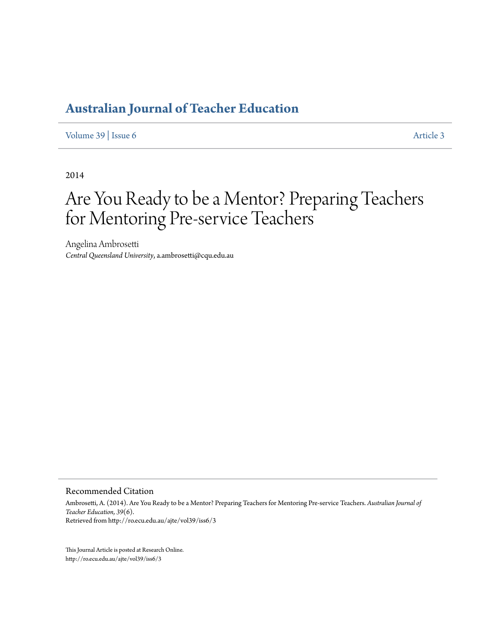## **[Australian Journal of Teacher Education](http://ro.ecu.edu.au/ajte)**

[Volume 39](http://ro.ecu.edu.au/ajte/vol39) | [Issue 6](http://ro.ecu.edu.au/ajte/vol39/iss6) [Article 3](http://ro.ecu.edu.au/ajte/vol39/iss6/3)

2014

# Are You Ready to be a Mentor? Preparing Teachers for Mentoring Pre-service Teachers

Angelina Ambrosetti *Central Queensland University*, a.ambrosetti@cqu.edu.au

Recommended Citation

Ambrosetti, A. (2014). Are You Ready to be a Mentor? Preparing Teachers for Mentoring Pre-service Teachers. *Australian Journal of Teacher Education, 39*(6). Retrieved from http://ro.ecu.edu.au/ajte/vol39/iss6/3

This Journal Article is posted at Research Online. http://ro.ecu.edu.au/ajte/vol39/iss6/3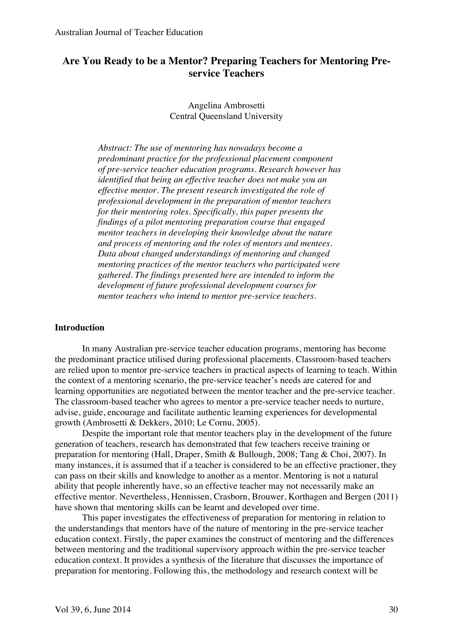## **Are You Ready to be a Mentor? Preparing Teachers for Mentoring Preservice Teachers**

## Angelina Ambrosetti Central Queensland University

*Abstract: The use of mentoring has nowadays become a predominant practice for the professional placement component of pre-service teacher education programs. Research however has identified that being an effective teacher does not make you an effective mentor. The present research investigated the role of professional development in the preparation of mentor teachers for their mentoring roles. Specifically, this paper presents the findings of a pilot mentoring preparation course that engaged mentor teachers in developing their knowledge about the nature and process of mentoring and the roles of mentors and mentees. Data about changed understandings of mentoring and changed mentoring practices of the mentor teachers who participated were gathered. The findings presented here are intended to inform the development of future professional development courses for mentor teachers who intend to mentor pre-service teachers.*

#### **Introduction**

In many Australian pre-service teacher education programs, mentoring has become the predominant practice utilised during professional placements. Classroom-based teachers are relied upon to mentor pre-service teachers in practical aspects of learning to teach. Within the context of a mentoring scenario, the pre-service teacher's needs are catered for and learning opportunities are negotiated between the mentor teacher and the pre-service teacher. The classroom-based teacher who agrees to mentor a pre-service teacher needs to nurture, advise, guide, encourage and facilitate authentic learning experiences for developmental growth (Ambrosetti & Dekkers, 2010; Le Cornu, 2005).

Despite the important role that mentor teachers play in the development of the future generation of teachers, research has demonstrated that few teachers receive training or preparation for mentoring (Hall, Draper, Smith & Bullough, 2008; Tang & Choi, 2007). In many instances, it is assumed that if a teacher is considered to be an effective practioner, they can pass on their skills and knowledge to another as a mentor. Mentoring is not a natural ability that people inherently have, so an effective teacher may not necessarily make an effective mentor. Nevertheless, Hennissen, Crasborn, Brouwer, Korthagen and Bergen (2011) have shown that mentoring skills can be learnt and developed over time.

This paper investigates the effectiveness of preparation for mentoring in relation to the understandings that mentors have of the nature of mentoring in the pre-service teacher education context. Firstly, the paper examines the construct of mentoring and the differences between mentoring and the traditional supervisory approach within the pre-service teacher education context. It provides a synthesis of the literature that discusses the importance of preparation for mentoring. Following this, the methodology and research context will be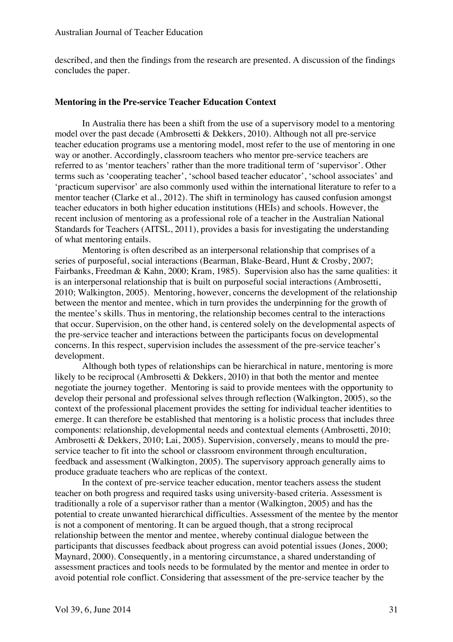described, and then the findings from the research are presented*.* A discussion of the findings concludes the paper.

#### **Mentoring in the Pre-service Teacher Education Context**

In Australia there has been a shift from the use of a supervisory model to a mentoring model over the past decade (Ambrosetti & Dekkers, 2010). Although not all pre-service teacher education programs use a mentoring model, most refer to the use of mentoring in one way or another. Accordingly, classroom teachers who mentor pre-service teachers are referred to as 'mentor teachers' rather than the more traditional term of 'supervisor'. Other terms such as 'cooperating teacher', 'school based teacher educator', 'school associates' and 'practicum supervisor' are also commonly used within the international literature to refer to a mentor teacher (Clarke et al., 2012). The shift in terminology has caused confusion amongst teacher educators in both higher education institutions (HEIs) and schools. However, the recent inclusion of mentoring as a professional role of a teacher in the Australian National Standards for Teachers (AITSL, 2011), provides a basis for investigating the understanding of what mentoring entails.

Mentoring is often described as an interpersonal relationship that comprises of a series of purposeful, social interactions (Bearman, Blake-Beard, Hunt & Crosby, 2007; Fairbanks, Freedman & Kahn, 2000; Kram, 1985). Supervision also has the same qualities: it is an interpersonal relationship that is built on purposeful social interactions (Ambrosetti, 2010; Walkington, 2005). Mentoring, however, concerns the development of the relationship between the mentor and mentee, which in turn provides the underpinning for the growth of the mentee's skills. Thus in mentoring, the relationship becomes central to the interactions that occur. Supervision, on the other hand, is centered solely on the developmental aspects of the pre-service teacher and interactions between the participants focus on developmental concerns. In this respect, supervision includes the assessment of the pre-service teacher's development.

Although both types of relationships can be hierarchical in nature, mentoring is more likely to be reciprocal (Ambrosetti & Dekkers, 2010) in that both the mentor and mentee negotiate the journey together. Mentoring is said to provide mentees with the opportunity to develop their personal and professional selves through reflection (Walkington, 2005), so the context of the professional placement provides the setting for individual teacher identities to emerge. It can therefore be established that mentoring is a holistic process that includes three components: relationship, developmental needs and contextual elements (Ambrosetti, 2010; Ambrosetti & Dekkers, 2010; Lai, 2005). Supervision, conversely, means to mould the preservice teacher to fit into the school or classroom environment through enculturation, feedback and assessment (Walkington, 2005). The supervisory approach generally aims to produce graduate teachers who are replicas of the context.

In the context of pre-service teacher education, mentor teachers assess the student teacher on both progress and required tasks using university-based criteria. Assessment is traditionally a role of a supervisor rather than a mentor (Walkington, 2005) and has the potential to create unwanted hierarchical difficulties. Assessment of the mentee by the mentor is not a component of mentoring. It can be argued though, that a strong reciprocal relationship between the mentor and mentee, whereby continual dialogue between the participants that discusses feedback about progress can avoid potential issues (Jones, 2000; Maynard, 2000). Consequently, in a mentoring circumstance, a shared understanding of assessment practices and tools needs to be formulated by the mentor and mentee in order to avoid potential role conflict. Considering that assessment of the pre-service teacher by the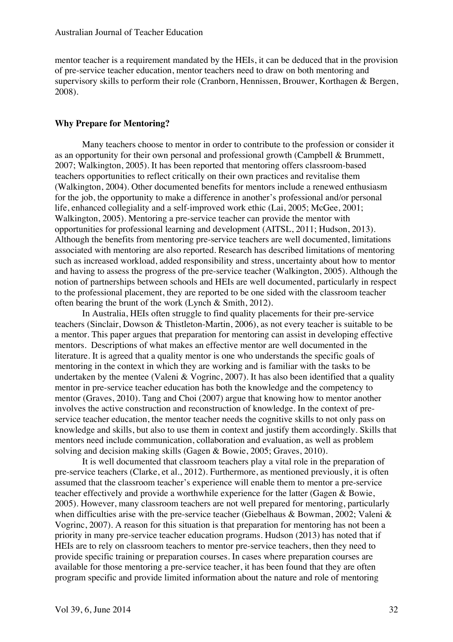mentor teacher is a requirement mandated by the HEIs, it can be deduced that in the provision of pre-service teacher education, mentor teachers need to draw on both mentoring and supervisory skills to perform their role (Cranborn, Hennissen, Brouwer, Korthagen & Bergen, 2008).

#### **Why Prepare for Mentoring?**

Many teachers choose to mentor in order to contribute to the profession or consider it as an opportunity for their own personal and professional growth (Campbell & Brummett, 2007; Walkington, 2005). It has been reported that mentoring offers classroom-based teachers opportunities to reflect critically on their own practices and revitalise them (Walkington, 2004). Other documented benefits for mentors include a renewed enthusiasm for the job, the opportunity to make a difference in another's professional and/or personal life, enhanced collegiality and a self-improved work ethic (Lai, 2005; McGee, 2001; Walkington, 2005). Mentoring a pre-service teacher can provide the mentor with opportunities for professional learning and development (AITSL, 2011; Hudson, 2013). Although the benefits from mentoring pre-service teachers are well documented, limitations associated with mentoring are also reported. Research has described limitations of mentoring such as increased workload, added responsibility and stress, uncertainty about how to mentor and having to assess the progress of the pre-service teacher (Walkington, 2005). Although the notion of partnerships between schools and HEIs are well documented, particularly in respect to the professional placement, they are reported to be one sided with the classroom teacher often bearing the brunt of the work (Lynch & Smith, 2012).

In Australia, HEIs often struggle to find quality placements for their pre-service teachers (Sinclair, Dowson & Thistleton-Martin, 2006), as not every teacher is suitable to be a mentor. This paper argues that preparation for mentoring can assist in developing effective mentors. Descriptions of what makes an effective mentor are well documented in the literature. It is agreed that a quality mentor is one who understands the specific goals of mentoring in the context in which they are working and is familiar with the tasks to be undertaken by the mentee (Valeni & Vogrinc, 2007). It has also been identified that a quality mentor in pre-service teacher education has both the knowledge and the competency to mentor (Graves, 2010). Tang and Choi (2007) argue that knowing how to mentor another involves the active construction and reconstruction of knowledge. In the context of preservice teacher education, the mentor teacher needs the cognitive skills to not only pass on knowledge and skills, but also to use them in context and justify them accordingly. Skills that mentors need include communication, collaboration and evaluation, as well as problem solving and decision making skills (Gagen & Bowie, 2005; Graves, 2010).

It is well documented that classroom teachers play a vital role in the preparation of pre-service teachers (Clarke, et al., 2012). Furthermore, as mentioned previously, it is often assumed that the classroom teacher's experience will enable them to mentor a pre-service teacher effectively and provide a worthwhile experience for the latter (Gagen & Bowie, 2005). However, many classroom teachers are not well prepared for mentoring, particularly when difficulties arise with the pre-service teacher (Giebelhaus & Bowman, 2002; Valeni & Vogrinc, 2007). A reason for this situation is that preparation for mentoring has not been a priority in many pre-service teacher education programs. Hudson (2013) has noted that if HEIs are to rely on classroom teachers to mentor pre-service teachers, then they need to provide specific training or preparation courses. In cases where preparation courses are available for those mentoring a pre-service teacher, it has been found that they are often program specific and provide limited information about the nature and role of mentoring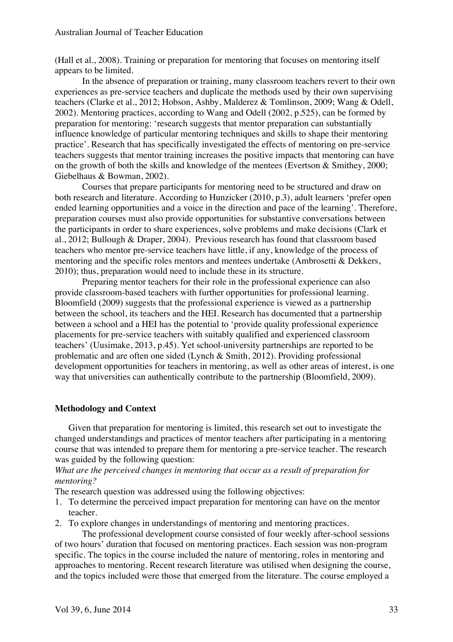(Hall et al., 2008). Training or preparation for mentoring that focuses on mentoring itself appears to be limited.

In the absence of preparation or training, many classroom teachers revert to their own experiences as pre-service teachers and duplicate the methods used by their own supervising teachers (Clarke et al., 2012; Hobson, Ashby, Malderez & Tomlinson, 2009; Wang & Odell, 2002). Mentoring practices, according to Wang and Odell (2002, p.525), can be formed by preparation for mentoring: 'research suggests that mentor preparation can substantially influence knowledge of particular mentoring techniques and skills to shape their mentoring practice'. Research that has specifically investigated the effects of mentoring on pre-service teachers suggests that mentor training increases the positive impacts that mentoring can have on the growth of both the skills and knowledge of the mentees (Evertson & Smithey, 2000; Giebelhaus & Bowman, 2002).

Courses that prepare participants for mentoring need to be structured and draw on both research and literature. According to Hunzicker (2010, p.3), adult learners 'prefer open ended learning opportunities and a voice in the direction and pace of the learning'. Therefore, preparation courses must also provide opportunities for substantive conversations between the participants in order to share experiences, solve problems and make decisions (Clark et al., 2012; Bullough & Draper, 2004). Previous research has found that classroom based teachers who mentor pre-service teachers have little, if any, knowledge of the process of mentoring and the specific roles mentors and mentees undertake (Ambrosetti & Dekkers, 2010); thus, preparation would need to include these in its structure.

Preparing mentor teachers for their role in the professional experience can also provide classroom-based teachers with further opportunities for professional learning. Bloomfield (2009) suggests that the professional experience is viewed as a partnership between the school, its teachers and the HEI. Research has documented that a partnership between a school and a HEI has the potential to 'provide quality professional experience placements for pre-service teachers with suitably qualified and experienced classroom teachers' (Uusimake, 2013, p.45). Yet school-university partnerships are reported to be problematic and are often one sided (Lynch & Smith, 2012). Providing professional development opportunities for teachers in mentoring, as well as other areas of interest, is one way that universities can authentically contribute to the partnership (Bloomfield, 2009).

#### **Methodology and Context**

Given that preparation for mentoring is limited, this research set out to investigate the changed understandings and practices of mentor teachers after participating in a mentoring course that was intended to prepare them for mentoring a pre-service teacher. The research was guided by the following question:

*What are the perceived changes in mentoring that occur as a result of preparation for mentoring?* 

The research question was addressed using the following objectives:

- 1. To determine the perceived impact preparation for mentoring can have on the mentor teacher.
- 2. To explore changes in understandings of mentoring and mentoring practices.

The professional development course consisted of four weekly after-school sessions of two hours' duration that focused on mentoring practices. Each session was non-program specific. The topics in the course included the nature of mentoring, roles in mentoring and approaches to mentoring. Recent research literature was utilised when designing the course, and the topics included were those that emerged from the literature. The course employed a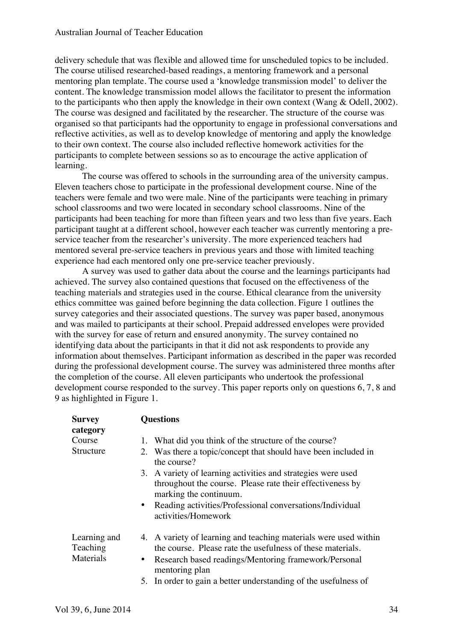delivery schedule that was flexible and allowed time for unscheduled topics to be included. The course utilised researched-based readings, a mentoring framework and a personal mentoring plan template. The course used a 'knowledge transmission model' to deliver the content. The knowledge transmission model allows the facilitator to present the information to the participants who then apply the knowledge in their own context (Wang & Odell, 2002). The course was designed and facilitated by the researcher. The structure of the course was organised so that participants had the opportunity to engage in professional conversations and reflective activities, as well as to develop knowledge of mentoring and apply the knowledge to their own context. The course also included reflective homework activities for the participants to complete between sessions so as to encourage the active application of learning.

The course was offered to schools in the surrounding area of the university campus. Eleven teachers chose to participate in the professional development course. Nine of the teachers were female and two were male. Nine of the participants were teaching in primary school classrooms and two were located in secondary school classrooms. Nine of the participants had been teaching for more than fifteen years and two less than five years. Each participant taught at a different school, however each teacher was currently mentoring a preservice teacher from the researcher's university. The more experienced teachers had mentored several pre-service teachers in previous years and those with limited teaching experience had each mentored only one pre-service teacher previously.

A survey was used to gather data about the course and the learnings participants had achieved. The survey also contained questions that focused on the effectiveness of the teaching materials and strategies used in the course. Ethical clearance from the university ethics committee was gained before beginning the data collection. Figure 1 outlines the survey categories and their associated questions. The survey was paper based, anonymous and was mailed to participants at their school. Prepaid addressed envelopes were provided with the survey for ease of return and ensured anonymity. The survey contained no identifying data about the participants in that it did not ask respondents to provide any information about themselves. Participant information as described in the paper was recorded during the professional development course. The survey was administered three months after the completion of the course. All eleven participants who undertook the professional development course responded to the survey. This paper reports only on questions 6, 7, 8 and 9 as highlighted in Figure 1.

| <b>Survey</b><br>category             | <b>Questions</b>                                                                                                               |
|---------------------------------------|--------------------------------------------------------------------------------------------------------------------------------|
| Course                                | 1. What did you think of the structure of the course?                                                                          |
| Structure                             | 2. Was there a topic/concept that should have been included in<br>the course?                                                  |
|                                       | 3. A variety of learning activities and strategies were used                                                                   |
|                                       | throughout the course. Please rate their effectiveness by<br>marking the continuum.                                            |
|                                       | Reading activities/Professional conversations/Individual<br>$\bullet$<br>activities/Homework                                   |
| Learning and<br>Teaching<br>Materials | 4. A variety of learning and teaching materials were used within<br>the course. Please rate the usefulness of these materials. |
|                                       | Research based readings/Mentoring framework/Personal<br>$\bullet$<br>mentoring plan                                            |
|                                       | 5. In order to gain a better understanding of the usefulness of                                                                |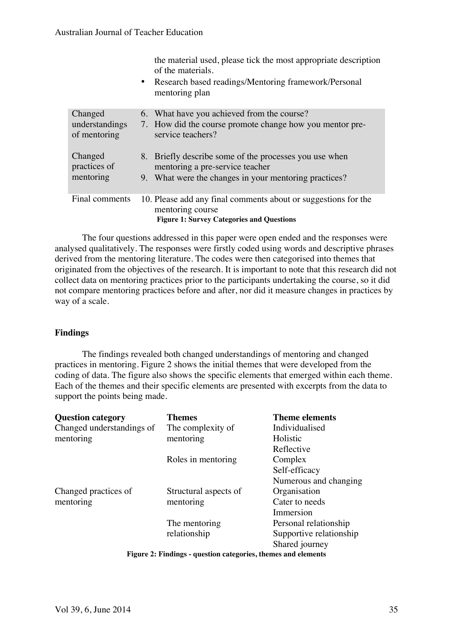|                                | the material used, please tick the most appropriate description<br>of the materials.<br>• Research based readings/Mentoring framework/Personal<br>mentoring plan |
|--------------------------------|------------------------------------------------------------------------------------------------------------------------------------------------------------------|
| Changed                        | 6. What have you achieved from the course?                                                                                                                       |
| understandings<br>of mentoring | 7. How did the course promote change how you mentor pre-<br>service teachers?                                                                                    |
| Changed<br>practices of        | 8. Briefly describe some of the processes you use when<br>mentoring a pre-service teacher                                                                        |
| mentoring                      | 9. What were the changes in your mentoring practices?                                                                                                            |
| Final comments                 | 10. Please add any final comments about or suggestions for the<br>mentoring course<br><b>Figure 1: Survey Categories and Questions</b>                           |

The four questions addressed in this paper were open ended and the responses were analysed qualitatively. The responses were firstly coded using words and descriptive phrases derived from the mentoring literature. The codes were then categorised into themes that originated from the objectives of the research. It is important to note that this research did not collect data on mentoring practices prior to the participants undertaking the course, so it did not compare mentoring practices before and after, nor did it measure changes in practices by way of a scale.

## **Findings**

The findings revealed both changed understandings of mentoring and changed practices in mentoring. Figure 2 shows the initial themes that were developed from the coding of data. The figure also shows the specific elements that emerged within each theme. Each of the themes and their specific elements are presented with excerpts from the data to support the points being made.

| <b>Question category</b>                                      | <b>Themes</b>         | <b>Theme elements</b>   |  |  |  |
|---------------------------------------------------------------|-----------------------|-------------------------|--|--|--|
| Changed understandings of                                     | The complexity of     | Individualised          |  |  |  |
| mentoring                                                     | mentoring             | Holistic                |  |  |  |
|                                                               |                       | Reflective              |  |  |  |
|                                                               | Roles in mentoring    | Complex                 |  |  |  |
|                                                               |                       | Self-efficacy           |  |  |  |
|                                                               |                       | Numerous and changing   |  |  |  |
| Changed practices of                                          | Structural aspects of | Organisation            |  |  |  |
| mentoring                                                     | mentoring             | Cater to needs          |  |  |  |
|                                                               |                       | Immersion               |  |  |  |
|                                                               | The mentoring         | Personal relationship   |  |  |  |
|                                                               | relationship          | Supportive relationship |  |  |  |
|                                                               |                       | Shared journey          |  |  |  |
| Figure 2: Findings - question categories, themes and elements |                       |                         |  |  |  |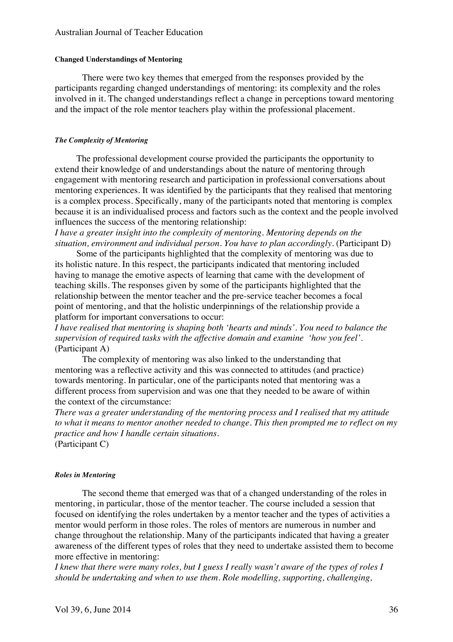#### Australian Journal of Teacher Education

#### **Changed Understandings of Mentoring**

There were two key themes that emerged from the responses provided by the participants regarding changed understandings of mentoring: its complexity and the roles involved in it. The changed understandings reflect a change in perceptions toward mentoring and the impact of the role mentor teachers play within the professional placement.

#### *The Complexity of Mentoring*

The professional development course provided the participants the opportunity to extend their knowledge of and understandings about the nature of mentoring through engagement with mentoring research and participation in professional conversations about mentoring experiences. It was identified by the participants that they realised that mentoring is a complex process. Specifically, many of the participants noted that mentoring is complex because it is an individualised process and factors such as the context and the people involved influences the success of the mentoring relationship:

*I have a greater insight into the complexity of mentoring. Mentoring depends on the situation, environment and individual person. You have to plan accordingly.* (Participant D)

Some of the participants highlighted that the complexity of mentoring was due to its holistic nature. In this respect, the participants indicated that mentoring included having to manage the emotive aspects of learning that came with the development of teaching skills. The responses given by some of the participants highlighted that the relationship between the mentor teacher and the pre-service teacher becomes a focal point of mentoring, and that the holistic underpinnings of the relationship provide a platform for important conversations to occur:

*I have realised that mentoring is shaping both 'hearts and minds'. You need to balance the supervision of required tasks with the affective domain and examine 'how you feel'*. (Participant A)

The complexity of mentoring was also linked to the understanding that mentoring was a reflective activity and this was connected to attitudes (and practice) towards mentoring. In particular, one of the participants noted that mentoring was a different process from supervision and was one that they needed to be aware of within the context of the circumstance:

*There was a greater understanding of the mentoring process and I realised that my attitude to what it means to mentor another needed to change. This then prompted me to reflect on my practice and how I handle certain situations.*

(Participant C)

#### *Roles in Mentoring*

The second theme that emerged was that of a changed understanding of the roles in mentoring, in particular, those of the mentor teacher. The course included a session that focused on identifying the roles undertaken by a mentor teacher and the types of activities a mentor would perform in those roles. The roles of mentors are numerous in number and change throughout the relationship. Many of the participants indicated that having a greater awareness of the different types of roles that they need to undertake assisted them to become more effective in mentoring:

*I knew that there were many roles, but I guess I really wasn't aware of the types of roles I should be undertaking and when to use them. Role modelling, supporting, challenging,*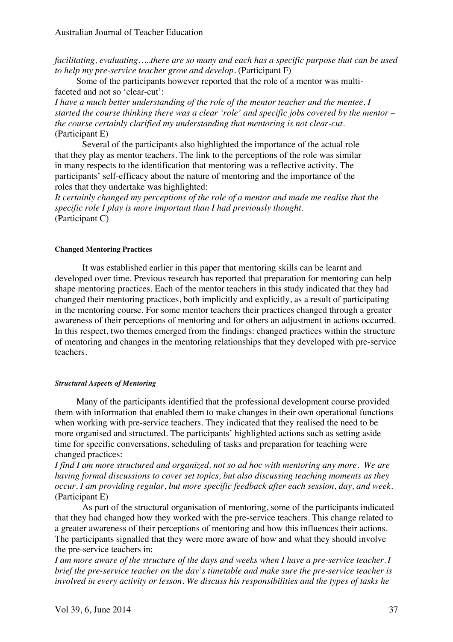*facilitating, evaluating…..there are so many and each has a specific purpose that can be used to help my pre-service teacher grow and develop.* (Participant F)

Some of the participants however reported that the role of a mentor was multifaceted and not so 'clear-cut':

*I have a much better understanding of the role of the mentor teacher and the mentee. I started the course thinking there was a clear 'role' and specific jobs covered by the mentor – the course certainly clarified my understanding that mentoring is not clear-cut.* (Participant E)

Several of the participants also highlighted the importance of the actual role that they play as mentor teachers. The link to the perceptions of the role was similar in many respects to the identification that mentoring was a reflective activity. The participants' self-efficacy about the nature of mentoring and the importance of the roles that they undertake was highlighted:

*It certainly changed my perceptions of the role of a mentor and made me realise that the specific role I play is more important than I had previously thought*. (Participant C)

#### **Changed Mentoring Practices**

It was established earlier in this paper that mentoring skills can be learnt and developed over time. Previous research has reported that preparation for mentoring can help shape mentoring practices. Each of the mentor teachers in this study indicated that they had changed their mentoring practices, both implicitly and explicitly, as a result of participating in the mentoring course. For some mentor teachers their practices changed through a greater awareness of their perceptions of mentoring and for others an adjustment in actions occurred. In this respect, two themes emerged from the findings: changed practices within the structure of mentoring and changes in the mentoring relationships that they developed with pre-service teachers.

#### *Structural Aspects of Mentoring*

Many of the participants identified that the professional development course provided them with information that enabled them to make changes in their own operational functions when working with pre-service teachers. They indicated that they realised the need to be more organised and structured. The participants' highlighted actions such as setting aside time for specific conversations, scheduling of tasks and preparation for teaching were changed practices:

*I find I am more structured and organized, not so ad hoc with mentoring any more. We are having formal discussions to cover set topics, but also discussing teaching moments as they occur. I am providing regular, but more specific feedback after each session, day, and week*. (Participant E)

As part of the structural organisation of mentoring, some of the participants indicated that they had changed how they worked with the pre-service teachers. This change related to a greater awareness of their perceptions of mentoring and how this influences their actions. The participants signalled that they were more aware of how and what they should involve the pre-service teachers in:

*I am more aware of the structure of the days and weeks when I have a pre-service teacher. I brief the pre-service teacher on the day's timetable and make sure the pre-service teacher is involved in every activity or lesson. We discuss his responsibilities and the types of tasks he*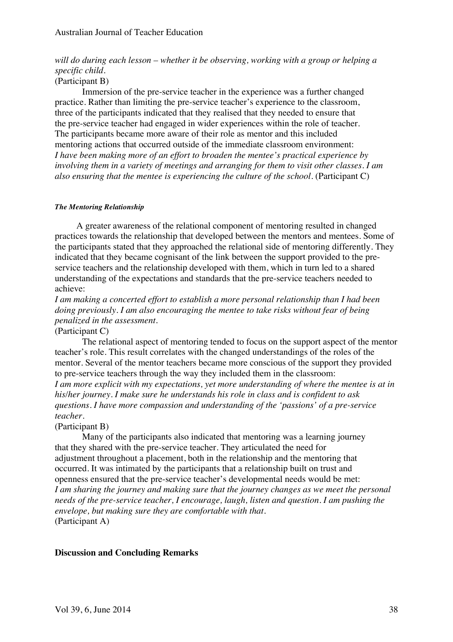## *will do during each lesson – whether it be observing, working with a group or helping a specific child.*

## (Participant B)

Immersion of the pre-service teacher in the experience was a further changed practice. Rather than limiting the pre-service teacher's experience to the classroom, three of the participants indicated that they realised that they needed to ensure that the pre-service teacher had engaged in wider experiences within the role of teacher. The participants became more aware of their role as mentor and this included mentoring actions that occurred outside of the immediate classroom environment: *I have been making more of an effort to broaden the mentee's practical experience by involving them in a variety of meetings and arranging for them to visit other classes. I am also ensuring that the mentee is experiencing the culture of the school.* (Participant C)

#### *The Mentoring Relationship*

A greater awareness of the relational component of mentoring resulted in changed practices towards the relationship that developed between the mentors and mentees. Some of the participants stated that they approached the relational side of mentoring differently. They indicated that they became cognisant of the link between the support provided to the preservice teachers and the relationship developed with them, which in turn led to a shared understanding of the expectations and standards that the pre-service teachers needed to achieve:

*I am making a concerted effort to establish a more personal relationship than I had been doing previously. I am also encouraging the mentee to take risks without fear of being penalized in the assessment.*

## (Participant C)

The relational aspect of mentoring tended to focus on the support aspect of the mentor teacher's role. This result correlates with the changed understandings of the roles of the mentor. Several of the mentor teachers became more conscious of the support they provided to pre-service teachers through the way they included them in the classroom: *I am more explicit with my expectations, yet more understanding of where the mentee is at in his/her journey. I make sure he understands his role in class and is confident to ask questions. I have more compassion and understanding of the 'passions' of a pre-service teacher.*

## (Participant B)

Many of the participants also indicated that mentoring was a learning journey that they shared with the pre-service teacher. They articulated the need for adjustment throughout a placement, both in the relationship and the mentoring that occurred. It was intimated by the participants that a relationship built on trust and openness ensured that the pre-service teacher's developmental needs would be met: *I am sharing the journey and making sure that the journey changes as we meet the personal needs of the pre-service teacher, I encourage, laugh, listen and question. I am pushing the envelope, but making sure they are comfortable with that.*  (Participant A)

## **Discussion and Concluding Remarks**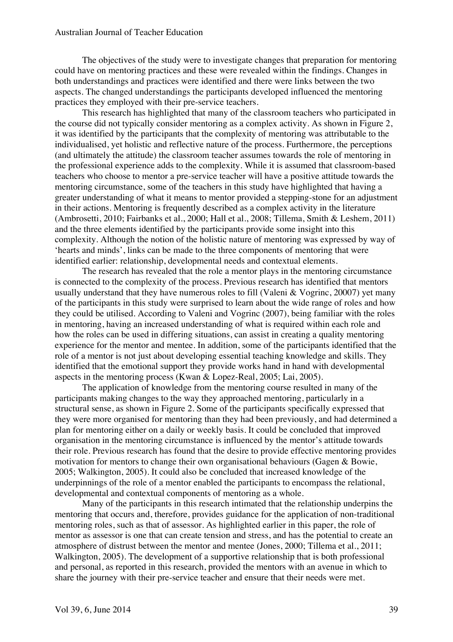The objectives of the study were to investigate changes that preparation for mentoring could have on mentoring practices and these were revealed within the findings. Changes in both understandings and practices were identified and there were links between the two aspects. The changed understandings the participants developed influenced the mentoring practices they employed with their pre-service teachers.

This research has highlighted that many of the classroom teachers who participated in the course did not typically consider mentoring as a complex activity. As shown in Figure 2, it was identified by the participants that the complexity of mentoring was attributable to the individualised, yet holistic and reflective nature of the process. Furthermore, the perceptions (and ultimately the attitude) the classroom teacher assumes towards the role of mentoring in the professional experience adds to the complexity. While it is assumed that classroom-based teachers who choose to mentor a pre-service teacher will have a positive attitude towards the mentoring circumstance, some of the teachers in this study have highlighted that having a greater understanding of what it means to mentor provided a stepping-stone for an adjustment in their actions. Mentoring is frequently described as a complex activity in the literature (Ambrosetti, 2010; Fairbanks et al., 2000; Hall et al., 2008; Tillema, Smith & Leshem, 2011) and the three elements identified by the participants provide some insight into this complexity. Although the notion of the holistic nature of mentoring was expressed by way of 'hearts and minds', links can be made to the three components of mentoring that were identified earlier: relationship, developmental needs and contextual elements.

The research has revealed that the role a mentor plays in the mentoring circumstance is connected to the complexity of the process. Previous research has identified that mentors usually understand that they have numerous roles to fill (Valeni & Vogrinc, 20007) yet many of the participants in this study were surprised to learn about the wide range of roles and how they could be utilised. According to Valeni and Vogrinc (2007), being familiar with the roles in mentoring, having an increased understanding of what is required within each role and how the roles can be used in differing situations, can assist in creating a quality mentoring experience for the mentor and mentee. In addition, some of the participants identified that the role of a mentor is not just about developing essential teaching knowledge and skills. They identified that the emotional support they provide works hand in hand with developmental aspects in the mentoring process (Kwan & Lopez-Real, 2005; Lai, 2005).

The application of knowledge from the mentoring course resulted in many of the participants making changes to the way they approached mentoring, particularly in a structural sense, as shown in Figure 2. Some of the participants specifically expressed that they were more organised for mentoring than they had been previously, and had determined a plan for mentoring either on a daily or weekly basis. It could be concluded that improved organisation in the mentoring circumstance is influenced by the mentor's attitude towards their role. Previous research has found that the desire to provide effective mentoring provides motivation for mentors to change their own organisational behaviours (Gagen & Bowie, 2005; Walkington, 2005). It could also be concluded that increased knowledge of the underpinnings of the role of a mentor enabled the participants to encompass the relational, developmental and contextual components of mentoring as a whole.

Many of the participants in this research intimated that the relationship underpins the mentoring that occurs and, therefore, provides guidance for the application of non-traditional mentoring roles, such as that of assessor. As highlighted earlier in this paper, the role of mentor as assessor is one that can create tension and stress, and has the potential to create an atmosphere of distrust between the mentor and mentee (Jones, 2000; Tillema et al., 2011; Walkington, 2005). The development of a supportive relationship that is both professional and personal, as reported in this research, provided the mentors with an avenue in which to share the journey with their pre-service teacher and ensure that their needs were met.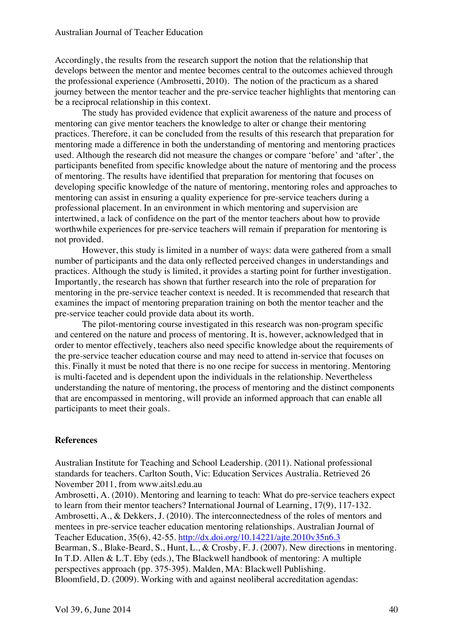Accordingly, the results from the research support the notion that the relationship that develops between the mentor and mentee becomes central to the outcomes achieved through the professional experience (Ambrosetti, 2010). The notion of the practicum as a shared journey between the mentor teacher and the pre-service teacher highlights that mentoring can be a reciprocal relationship in this context.

The study has provided evidence that explicit awareness of the nature and process of mentoring can give mentor teachers the knowledge to alter or change their mentoring practices. Therefore, it can be concluded from the results of this research that preparation for mentoring made a difference in both the understanding of mentoring and mentoring practices used*.* Although the research did not measure the changes or compare 'before' and 'after', the participants benefited from specific knowledge about the nature of mentoring and the process of mentoring. The results have identified that preparation for mentoring that focuses on developing specific knowledge of the nature of mentoring, mentoring roles and approaches to mentoring can assist in ensuring a quality experience for pre-service teachers during a professional placement. In an environment in which mentoring and supervision are intertwined, a lack of confidence on the part of the mentor teachers about how to provide worthwhile experiences for pre-service teachers will remain if preparation for mentoring is not provided.

However, this study is limited in a number of ways: data were gathered from a small number of participants and the data only reflected perceived changes in understandings and practices. Although the study is limited, it provides a starting point for further investigation. Importantly, the research has shown that further research into the role of preparation for mentoring in the pre-service teacher context is needed. It is recommended that research that examines the impact of mentoring preparation training on both the mentor teacher and the pre-service teacher could provide data about its worth.

The pilot-mentoring course investigated in this research was non-program specific and centered on the nature and process of mentoring. It is, however, acknowledged that in order to mentor effectively, teachers also need specific knowledge about the requirements of the pre-service teacher education course and may need to attend in-service that focuses on this. Finally it must be noted that there is no one recipe for success in mentoring. Mentoring is multi-faceted and is dependent upon the individuals in the relationship. Nevertheless understanding the nature of mentoring, the process of mentoring and the distinct components that are encompassed in mentoring, will provide an informed approach that can enable all participants to meet their goals.

## **References**

Australian Institute for Teaching and School Leadership. (2011). National professional standards for teachers. Carlton South, Vic: Education Services Australia. Retrieved 26 November 2011, from www.aitsl.edu.au

Ambrosetti, A. (2010). Mentoring and learning to teach: What do pre-service teachers expect to learn from their mentor teachers? International Journal of Learning, 17(9), 117-132. Ambrosetti, A., & Dekkers, J. (2010). The interconnectedness of the roles of mentors and mentees in pre-service teacher education mentoring relationships. Australian Journal of Teacher Education, 35(6), 42-55. http://dx.doi.org/10.14221/ajte.2010v35n6.3 Bearman, S., Blake-Beard, S., Hunt, L., & Crosby, F. J. (2007). New directions in mentoring. In T.D. Allen & L.T. Eby (eds.), The Blackwell handbook of mentoring: A multiple perspectives approach (pp. 375-395). Malden, MA: Blackwell Publishing.

Bloomfield, D. (2009). Working with and against neoliberal accreditation agendas: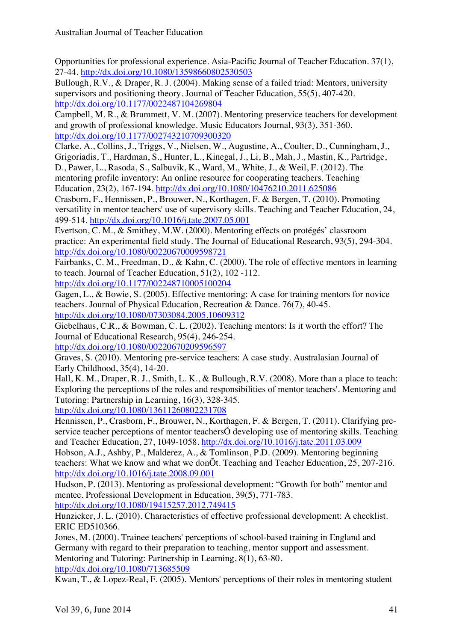Opportunities for professional experience. Asia-Pacific Journal of Teacher Education. 37(1), 27-44. http://dx.doi.org/10.1080/13598660802530503

Bullough, R.V., & Draper, R. J. (2004). Making sense of a failed triad: Mentors, university supervisors and positioning theory. Journal of Teacher Education, 55(5), 407-420. http://dx.doi.org/10.1177/0022487104269804

Campbell, M. R., & Brummett, V. M. (2007). Mentoring preservice teachers for development and growth of professional knowledge. Music Educators Journal, 93(3), 351-360. http://dx.doi.org/10.1177/002743210709300320

Clarke, A., Collins, J., Triggs, V., Nielsen, W., Augustine, A., Coulter, D., Cunningham, J., Grigoriadis, T., Hardman, S., Hunter, L., Kinegal, J., Li, B., Mah, J., Mastin, K., Partridge,

D., Pawer, L., Rasoda, S., Salbuvik, K., Ward, M., White, J., & Weil, F. (2012). The mentoring profile inventory: An online resource for cooperating teachers. Teaching Education, 23(2), 167-194. http://dx.doi.org/10.1080/10476210.2011.625086

Crasborn, F., Hennissen, P., Brouwer, N., Korthagen, F. & Bergen, T. (2010). Promoting versatility in mentor teachers' use of supervisory skills. Teaching and Teacher Education, 24, 499-514. http://dx.doi.org/10.1016/j.tate.2007.05.001

Evertson, C. M., & Smithey, M.W. (2000). Mentoring effects on protégés' classroom practice: An experimental field study. The Journal of Educational Research, 93(5), 294-304. http://dx.doi.org/10.1080/00220670009598721

Fairbanks, C. M., Freedman, D., & Kahn, C. (2000). The role of effective mentors in learning to teach. Journal of Teacher Education, 51(2), 102 -112.

http://dx.doi.org/10.1177/002248710005100204

Gagen, L., & Bowie, S. (2005). Effective mentoring: A case for training mentors for novice teachers. Journal of Physical Education, Recreation & Dance. 76(7), 40-45. http://dx.doi.org/10.1080/07303084.2005.10609312

Giebelhaus, C.R., & Bowman, C. L. (2002). Teaching mentors: Is it worth the effort? The Journal of Educational Research, 95(4), 246-254.

http://dx.doi.org/10.1080/00220670209596597

Graves, S. (2010). Mentoring pre-service teachers: A case study. Australasian Journal of Early Childhood, 35(4), 14-20.

Hall, K. M., Draper, R. J., Smith, L. K., & Bullough, R.V. (2008). More than a place to teach: Exploring the perceptions of the roles and responsibilities of mentor teachers'. Mentoring and Tutoring: Partnership in Learning, 16(3), 328-345.

http://dx.doi.org/10.1080/13611260802231708

Hennissen, P., Crasborn, F., Brouwer, N., Korthagen, F. & Bergen, T. (2011). Clarifying preservice teacher perceptions of mentor teachersÕ developing use of mentoring skills. Teaching and Teacher Education, 27, 1049-1058. http://dx.doi.org/10.1016/j.tate.2011.03.009

Hobson, A.J., Ashby, P., Malderez, A., & Tomlinson, P.D. (2009). Mentoring beginning teachers: What we know and what we donÕt. Teaching and Teacher Education, 25, 207-216. http://dx.doi.org/10.1016/j.tate.2008.09.001

Hudson, P. (2013). Mentoring as professional development: "Growth for both" mentor and mentee. Professional Development in Education, 39(5), 771-783. http://dx.doi.org/10.1080/19415257.2012.749415

Hunzicker, J. L. (2010). Characteristics of effective professional development: A checklist. ERIC ED510366.

Jones, M. (2000). Trainee teachers' perceptions of school-based training in England and Germany with regard to their preparation to teaching, mentor support and assessment. Mentoring and Tutoring: Partnership in Learning, 8(1), 63-80. http://dx.doi.org/10.1080/713685509

Kwan, T., & Lopez-Real, F. (2005). Mentors' perceptions of their roles in mentoring student